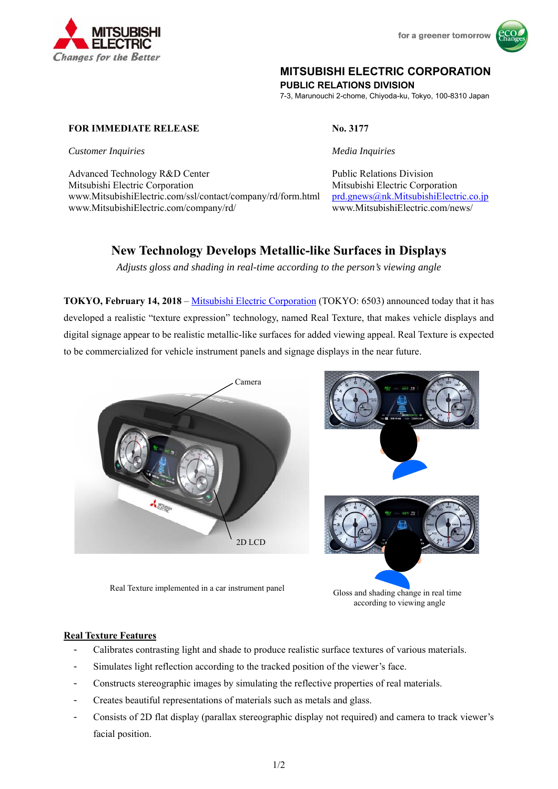



# **MITSUBISHI ELECTRIC CORPORATION**

**PUBLIC RELATIONS DIVISION** 

7-3, Marunouchi 2-chome, Chiyoda-ku, Tokyo, 100-8310 Japan

## **FOR IMMEDIATE RELEASE No. 3177**

*Customer Inquiries Media Inquiries* 

Advanced Technology R&D Center **Public Relations Division** Public Relations Division Mitsubishi Electric Corporation Mitsubishi Electric Corporation www.MitsubishiElectric.com/ssl/contact/company/rd/form.html www.MitsubishiElectric.com/company/rd/

prd.gnews@nk.MitsubishiElectric.co.jp www.MitsubishiElectric.com/news/

# **New Technology Develops Metallic-like Surfaces in Displays**

*Adjusts gloss and shading in real-time according to the person's viewing angle* 

**TOKYO, February 14, 2018** – Mitsubishi Electric Corporation (TOKYO: 6503) announced today that it has developed a realistic "texture expression" technology, named Real Texture, that makes vehicle displays and digital signage appear to be realistic metallic-like surfaces for added viewing appeal. Real Texture is expected to be commercialized for vehicle instrument panels and signage displays in the near future.



Real Texture implemented in a car instrument panel

Gloss and shading change in real time according to viewing angle

# **Real Texture Features**

- Calibrates contrasting light and shade to produce realistic surface textures of various materials.
- Simulates light reflection according to the tracked position of the viewer's face.
- Constructs stereographic images by simulating the reflective properties of real materials.
- Creates beautiful representations of materials such as metals and glass.
- Consists of 2D flat display (parallax stereographic display not required) and camera to track viewer's facial position.